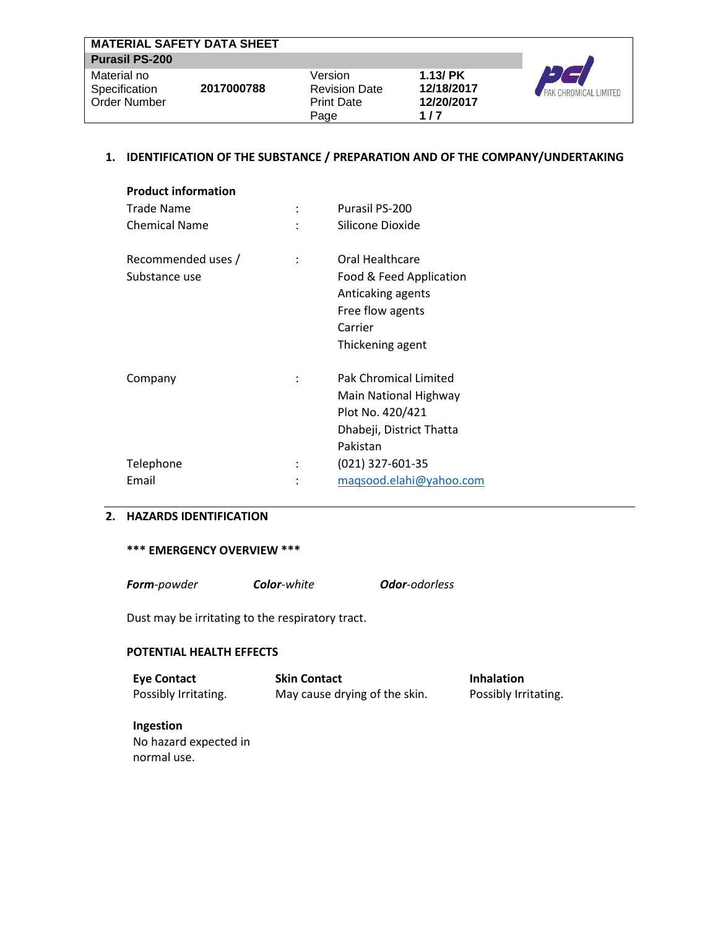|                       | <b>MATERIAL SAFETY DATA SHEET</b> |                      |               |                       |
|-----------------------|-----------------------------------|----------------------|---------------|-----------------------|
| <b>Purasil PS-200</b> |                                   |                      |               |                       |
| Material no           |                                   | Version              | $1.13$ / $PK$ |                       |
| Specification         | 2017000788                        | <b>Revision Date</b> | 12/18/2017    | PAK CHROMICAL LIMITED |
| Order Number          |                                   | <b>Print Date</b>    | 12/20/2017    |                       |
|                       |                                   | Page                 | 1/7           |                       |

# **1. IDENTIFICATION OF THE SUBSTANCE / PREPARATION AND OF THE COMPANY/UNDERTAKING**

| <b>Product information</b><br>Trade Name<br><b>Chemical Name</b> | Purasil PS-200<br>Silicone Dioxide                                                                                 |
|------------------------------------------------------------------|--------------------------------------------------------------------------------------------------------------------|
| Recommended uses /<br>Substance use                              | Oral Healthcare<br>Food & Feed Application<br>Anticaking agents<br>Free flow agents<br>Carrier<br>Thickening agent |
| Company                                                          | <b>Pak Chromical Limited</b><br>Main National Highway<br>Plot No. 420/421<br>Dhabeji, District Thatta<br>Pakistan  |
| Telephone                                                        | (021) 327-601-35                                                                                                   |
| Email                                                            | magsood.elahi@yahoo.com                                                                                            |

# **2. HAZARDS IDENTIFICATION**

# **\*\*\* EMERGENCY OVERVIEW \*\*\***

*Form-powder Color-white Odor-odorless*

Dust may be irritating to the respiratory tract.

# **POTENTIAL HEALTH EFFECTS**

| <b>Eye Contact</b>   | <b>Skin Contact</b>           | <b>Inhalation</b>    |
|----------------------|-------------------------------|----------------------|
| Possibly Irritating. | May cause drying of the skin. | Possibly Irritating. |

**Ingestion** No hazard expected in normal use.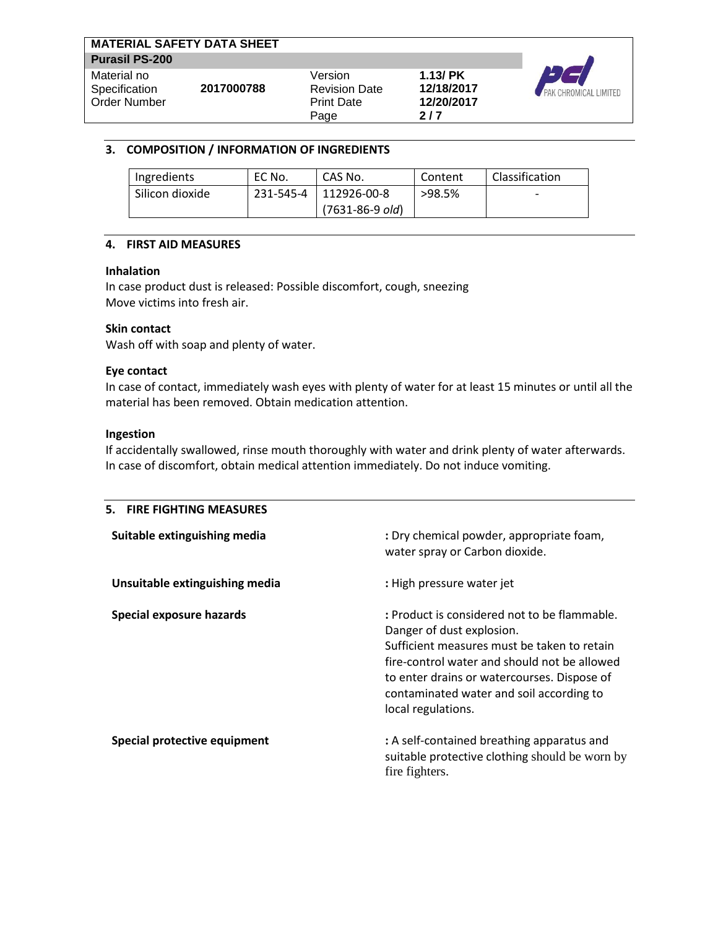| <b>MATERIAL SAFETY DATA SHEET</b>            |            |                                                              |                                                  |                       |
|----------------------------------------------|------------|--------------------------------------------------------------|--------------------------------------------------|-----------------------|
| <b>Purasil PS-200</b>                        |            |                                                              |                                                  |                       |
| Material no<br>Specification<br>Order Number | 2017000788 | Version<br><b>Revision Date</b><br><b>Print Date</b><br>Page | $1.13$ / $PK$<br>12/18/2017<br>12/20/2017<br>2/7 | PAK CHROMICAL LIMITED |

# **3. COMPOSITION / INFORMATION OF INGREDIENTS**

| Ingredients     | EC No. | CAS No.               | Content | Classification |
|-----------------|--------|-----------------------|---------|----------------|
| Silicon dioxide |        | 231-545-4 112926-00-8 | >98.5%  |                |
|                 |        | $(7631 - 86 - 9$ old) |         |                |

# **4. FIRST AID MEASURES**

## **Inhalation**

In case product dust is released: Possible discomfort, cough, sneezing Move victims into fresh air.

# **Skin contact**

Wash off with soap and plenty of water.

# **Eye contact**

In case of contact, immediately wash eyes with plenty of water for at least 15 minutes or until all the material has been removed. Obtain medication attention.

# **Ingestion**

If accidentally swallowed, rinse mouth thoroughly with water and drink plenty of water afterwards. In case of discomfort, obtain medical attention immediately. Do not induce vomiting.

| 5. FIRE FIGHTING MEASURES       |                                                                                                                                                                                                                                                                                           |
|---------------------------------|-------------------------------------------------------------------------------------------------------------------------------------------------------------------------------------------------------------------------------------------------------------------------------------------|
| Suitable extinguishing media    | : Dry chemical powder, appropriate foam,<br>water spray or Carbon dioxide.                                                                                                                                                                                                                |
| Unsuitable extinguishing media  | : High pressure water jet                                                                                                                                                                                                                                                                 |
| <b>Special exposure hazards</b> | : Product is considered not to be flammable.<br>Danger of dust explosion.<br>Sufficient measures must be taken to retain<br>fire-control water and should not be allowed<br>to enter drains or watercourses. Dispose of<br>contaminated water and soil according to<br>local regulations. |
| Special protective equipment    | : A self-contained breathing apparatus and<br>suitable protective clothing should be worn by<br>fire fighters.                                                                                                                                                                            |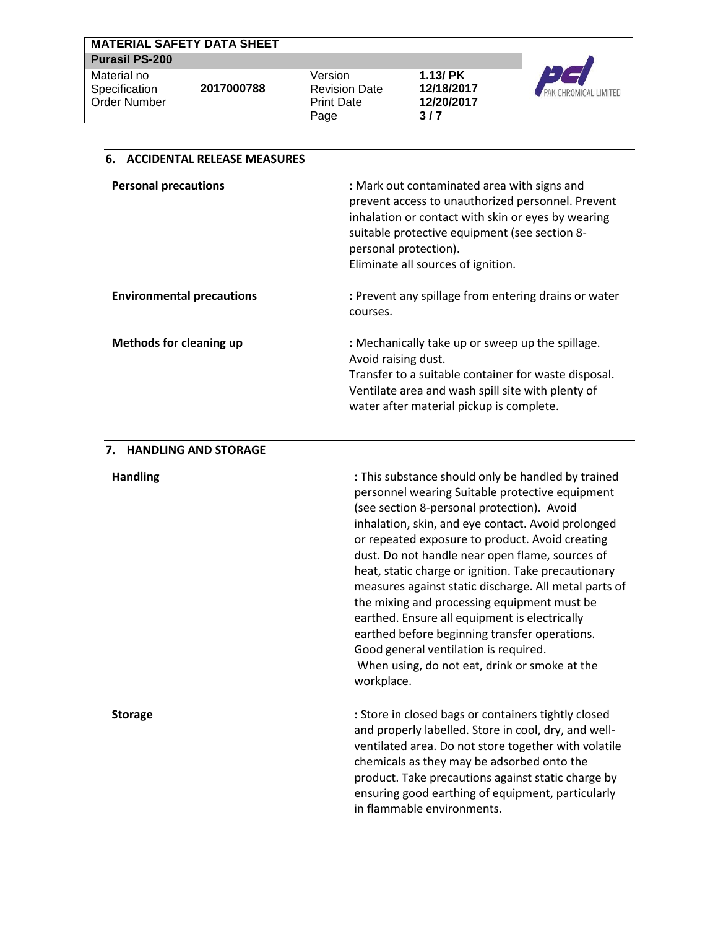|                       | <b>MATERIAL SAFETY DATA SHEET</b> |                      |               |                              |
|-----------------------|-----------------------------------|----------------------|---------------|------------------------------|
| <b>Purasil PS-200</b> |                                   |                      |               |                              |
| Material no           |                                   | Version              | $1.13$ / $PK$ |                              |
| Specification         | 2017000788                        | <b>Revision Date</b> | 12/18/2017    | <b>PAK CHROMICAL LIMITED</b> |
| Order Number          |                                   | <b>Print Date</b>    | 12/20/2017    |                              |
|                       |                                   | Page                 | 3/7           |                              |

| <b>Personal precautions</b>      | : Mark out contaminated area with signs and<br>prevent access to unauthorized personnel. Prevent<br>inhalation or contact with skin or eyes by wearing<br>suitable protective equipment (see section 8-<br>personal protection).<br>Eliminate all sources of ignition. |
|----------------------------------|------------------------------------------------------------------------------------------------------------------------------------------------------------------------------------------------------------------------------------------------------------------------|
| <b>Environmental precautions</b> | : Prevent any spillage from entering drains or water<br>courses.                                                                                                                                                                                                       |
| <b>Methods for cleaning up</b>   | : Mechanically take up or sweep up the spillage.<br>Avoid raising dust.<br>Transfer to a suitable container for waste disposal.<br>Ventilate area and wash spill site with plenty of<br>water after material pickup is complete.                                       |

#### **7. HANDLING AND STORAGE**

**6. ACCIDENTAL RELEASE MEASURES**

**Handling Example 3 Handling in the substance should only be handled by trained by trained by trained by trained by trained by trained by trained by trained by trained by trained by trained by trained by trained by t** personnel wearing Suitable protective equipment (see section 8-personal protection). Avoid inhalation, skin, and eye contact. Avoid prolonged or repeated exposure to product. Avoid creating dust. Do not handle near open flame, sources of heat, static charge or ignition. Take precautionary measures against static discharge. All metal parts of the mixing and processing equipment must be earthed. Ensure all equipment is electrically earthed before beginning transfer operations. Good general ventilation is required. When using, do not eat, drink or smoke at the workplace.

**Storage :** Store in closed bags or containers tightly closed and properly labelled. Store in cool, dry, and wellventilated area. Do not store together with volatile chemicals as they may be adsorbed onto the product. Take precautions against static charge by ensuring good earthing of equipment, particularly in flammable environments.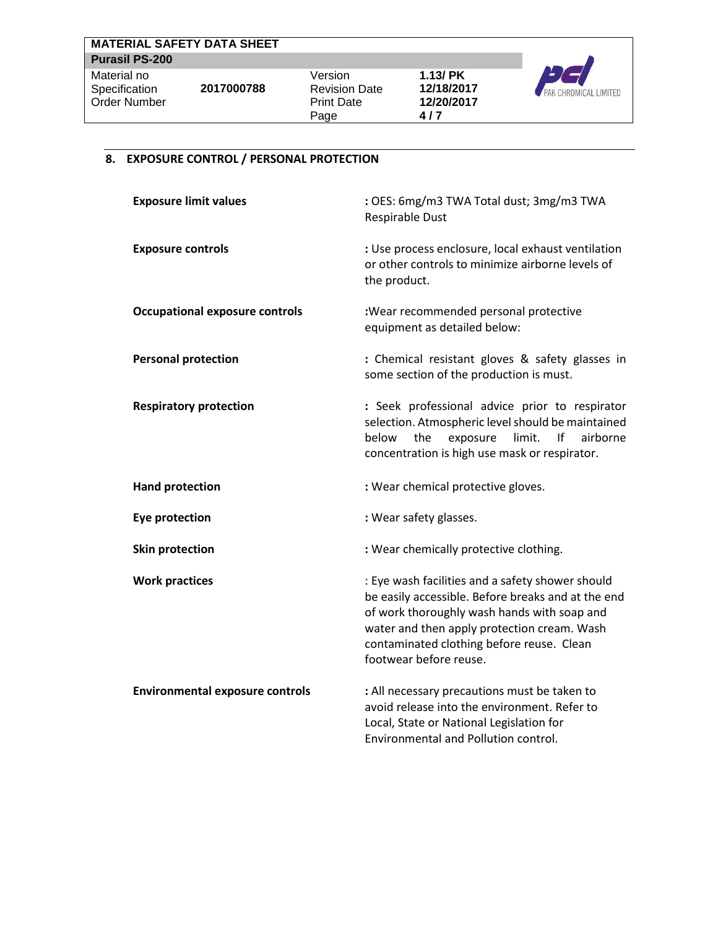| <b>MATERIAL SAFETY DATA SHEET</b> |            |                                 |                             |                              |
|-----------------------------------|------------|---------------------------------|-----------------------------|------------------------------|
| <b>Purasil PS-200</b>             |            |                                 |                             |                              |
| Material no<br>Specification      | 2017000788 | Version<br><b>Revision Date</b> | $1.13$ / $PK$<br>12/18/2017 |                              |
| <b>Order Number</b>               |            | <b>Print Date</b>               | 12/20/2017                  | <b>PAK CHROMICAL LIMITED</b> |
|                                   |            | Page                            | 4/7                         |                              |

# **8. EXPOSURE CONTROL / PERSONAL PROTECTION**

| <b>Exposure limit values</b>           | : OES: 6mg/m3 TWA Total dust; 3mg/m3 TWA<br>Respirable Dust                                                                                                                                                                                                                 |
|----------------------------------------|-----------------------------------------------------------------------------------------------------------------------------------------------------------------------------------------------------------------------------------------------------------------------------|
| <b>Exposure controls</b>               | : Use process enclosure, local exhaust ventilation<br>or other controls to minimize airborne levels of<br>the product.                                                                                                                                                      |
| <b>Occupational exposure controls</b>  | :Wear recommended personal protective<br>equipment as detailed below:                                                                                                                                                                                                       |
| <b>Personal protection</b>             | : Chemical resistant gloves & safety glasses in<br>some section of the production is must.                                                                                                                                                                                  |
| <b>Respiratory protection</b>          | : Seek professional advice prior to respirator<br>selection. Atmospheric level should be maintained<br>below<br>the<br>exposure<br>limit.<br>lf<br>airborne<br>concentration is high use mask or respirator.                                                                |
| <b>Hand protection</b>                 | : Wear chemical protective gloves.                                                                                                                                                                                                                                          |
| <b>Eye protection</b>                  | : Wear safety glasses.                                                                                                                                                                                                                                                      |
| <b>Skin protection</b>                 | : Wear chemically protective clothing.                                                                                                                                                                                                                                      |
| <b>Work practices</b>                  | : Eye wash facilities and a safety shower should<br>be easily accessible. Before breaks and at the end<br>of work thoroughly wash hands with soap and<br>water and then apply protection cream. Wash<br>contaminated clothing before reuse. Clean<br>footwear before reuse. |
| <b>Environmental exposure controls</b> | : All necessary precautions must be taken to<br>avoid release into the environment. Refer to<br>Local, State or National Legislation for<br><b>Environmental and Pollution control.</b>                                                                                     |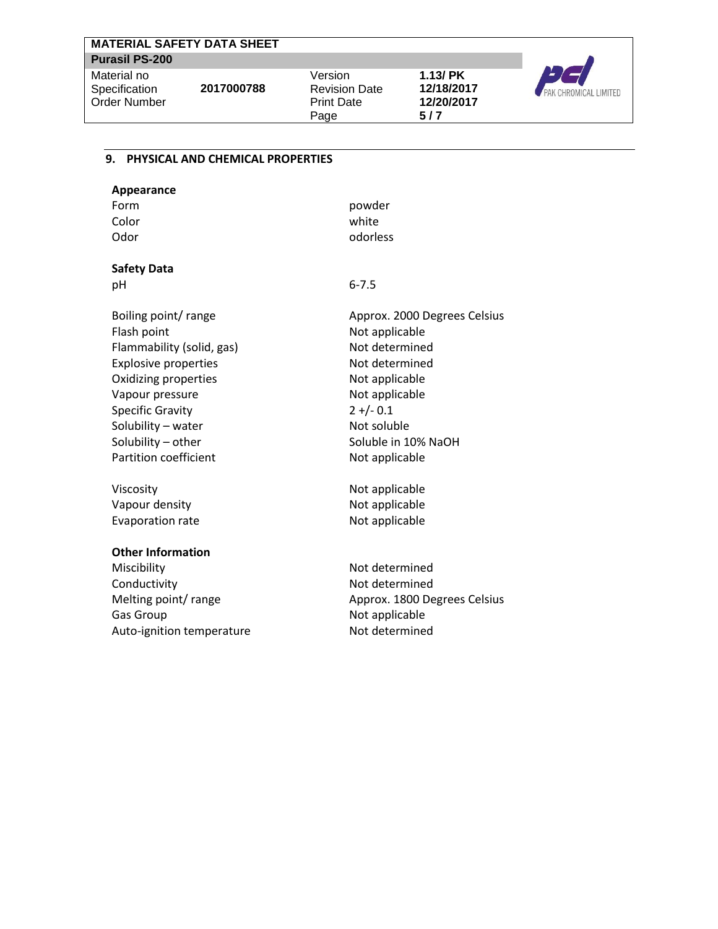| <b>MATERIAL SAFETY DATA SHEET</b>            |            |                                                              |                                                  |                       |
|----------------------------------------------|------------|--------------------------------------------------------------|--------------------------------------------------|-----------------------|
| <b>Purasil PS-200</b>                        |            |                                                              |                                                  |                       |
| Material no<br>Specification<br>Order Number | 2017000788 | Version<br><b>Revision Date</b><br><b>Print Date</b><br>Page | $1.13$ / $PK$<br>12/18/2017<br>12/20/2017<br>5/7 | PAK CHROMICAL LIMITED |

#### **9. PHYSICAL AND CHEMICAL PROPERTIES**

| powder   |
|----------|
| white    |
| odorless |
|          |

# **Safety Data**

pH 6-7.5

Boiling point/ range Flash point Flammability (solid, gas) Explosive properties Oxidizing properties Vapour pressure Specific Gravity Solubility – water Solubility – other Partition coefficient

Viscosity Vapour density Evaporation rate

## **Other Information**

Miscibility Conductivity Melting point/ range Gas Group Auto-ignition temperature Approx. 2000 Degrees Celsius Not applicable Not determined Not determined Not applicable Not applicable  $2 + (-0.1)$ Not soluble Soluble in 10% NaOH Not applicable

Not applicable Not applicable Not applicable

Not determined Not determined Approx. 1800 Degrees Celsius Not applicable Not determined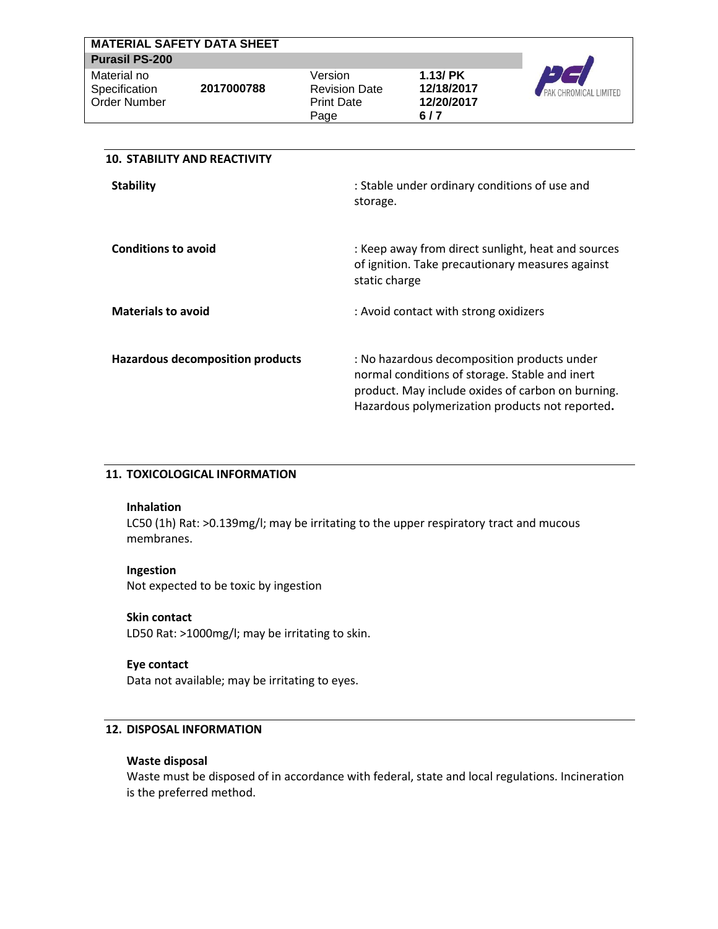|                                              | <b>MATERIAL SAFETY DATA SHEET</b> |                                                              |                                                  |                              |
|----------------------------------------------|-----------------------------------|--------------------------------------------------------------|--------------------------------------------------|------------------------------|
| <b>Purasil PS-200</b>                        |                                   |                                                              |                                                  |                              |
| Material no<br>Specification<br>Order Number | 2017000788                        | Version<br><b>Revision Date</b><br><b>Print Date</b><br>Page | $1.13$ / $PK$<br>12/18/2017<br>12/20/2017<br>6/7 | <b>PAK CHROMICAL LIMITED</b> |
|                                              |                                   |                                                              |                                                  |                              |

| <b>10. STABILITY AND REACTIVITY</b>     |                                                                                                                                                                                                       |
|-----------------------------------------|-------------------------------------------------------------------------------------------------------------------------------------------------------------------------------------------------------|
| <b>Stability</b>                        | : Stable under ordinary conditions of use and<br>storage.                                                                                                                                             |
| <b>Conditions to avoid</b>              | : Keep away from direct sunlight, heat and sources<br>of ignition. Take precautionary measures against<br>static charge                                                                               |
| <b>Materials to avoid</b>               | : Avoid contact with strong oxidizers                                                                                                                                                                 |
| <b>Hazardous decomposition products</b> | : No hazardous decomposition products under<br>normal conditions of storage. Stable and inert<br>product. May include oxides of carbon on burning.<br>Hazardous polymerization products not reported. |

#### **11. TOXICOLOGICAL INFORMATION**

#### **Inhalation**

LC50 (1h) Rat: >0.139mg/l; may be irritating to the upper respiratory tract and mucous membranes.

#### **Ingestion**

Not expected to be toxic by ingestion

## **Skin contact**

LD50 Rat: >1000mg/l; may be irritating to skin.

# **Eye contact**

Data not available; may be irritating to eyes.

# **12. DISPOSAL INFORMATION**

#### **Waste disposal**

Waste must be disposed of in accordance with federal, state and local regulations. Incineration is the preferred method.